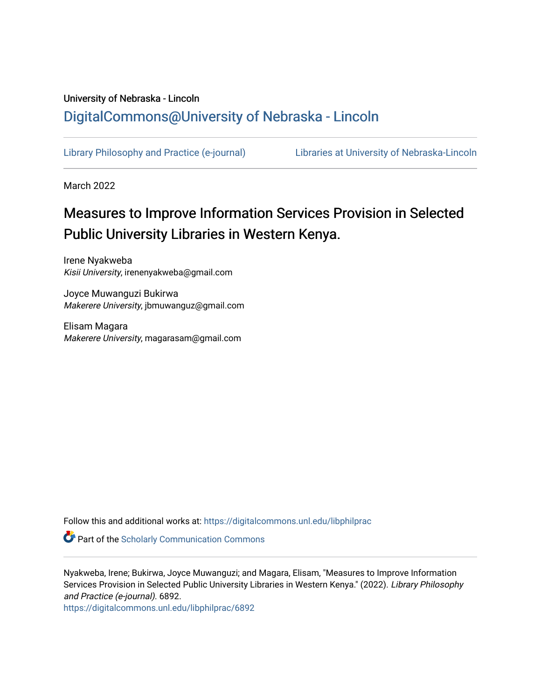## University of Nebraska - Lincoln [DigitalCommons@University of Nebraska - Lincoln](https://digitalcommons.unl.edu/)

[Library Philosophy and Practice \(e-journal\)](https://digitalcommons.unl.edu/libphilprac) [Libraries at University of Nebraska-Lincoln](https://digitalcommons.unl.edu/libraries) 

March 2022

# Measures to Improve Information Services Provision in Selected Public University Libraries in Western Kenya.

Irene Nyakweba Kisii University, irenenyakweba@gmail.com

Joyce Muwanguzi Bukirwa Makerere University, jbmuwanguz@gmail.com

Elisam Magara Makerere University, magarasam@gmail.com

Follow this and additional works at: [https://digitalcommons.unl.edu/libphilprac](https://digitalcommons.unl.edu/libphilprac?utm_source=digitalcommons.unl.edu%2Flibphilprac%2F6892&utm_medium=PDF&utm_campaign=PDFCoverPages) 

Part of the [Scholarly Communication Commons](http://network.bepress.com/hgg/discipline/1272?utm_source=digitalcommons.unl.edu%2Flibphilprac%2F6892&utm_medium=PDF&utm_campaign=PDFCoverPages) 

Nyakweba, Irene; Bukirwa, Joyce Muwanguzi; and Magara, Elisam, "Measures to Improve Information Services Provision in Selected Public University Libraries in Western Kenya." (2022). Library Philosophy and Practice (e-journal). 6892.

[https://digitalcommons.unl.edu/libphilprac/6892](https://digitalcommons.unl.edu/libphilprac/6892?utm_source=digitalcommons.unl.edu%2Flibphilprac%2F6892&utm_medium=PDF&utm_campaign=PDFCoverPages)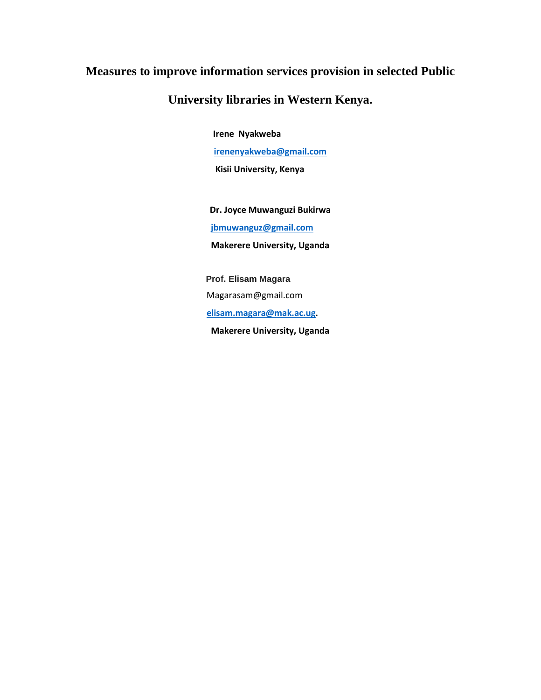## **Measures to improve information services provision in selected Public**

## **University libraries in Western Kenya.**

 **Irene Nyakweba**

**[irenenyakweba@gmail.com](mailto:irenenyakweba@gmail.com)**

 **Kisii University, Kenya**

**Dr. Joyce Muwanguzi Bukirwa [jbmuwanguz@gmail.com](mailto:jbmuwanguz@gmail.com) Makerere University, Uganda**

 **Prof. Elisam Magara** Magarasam@gmail.com  **[elisam.magara@mak.ac.ug](mailto:elisam.magara@mak.ac.ug).**

**Makerere University, Uganda**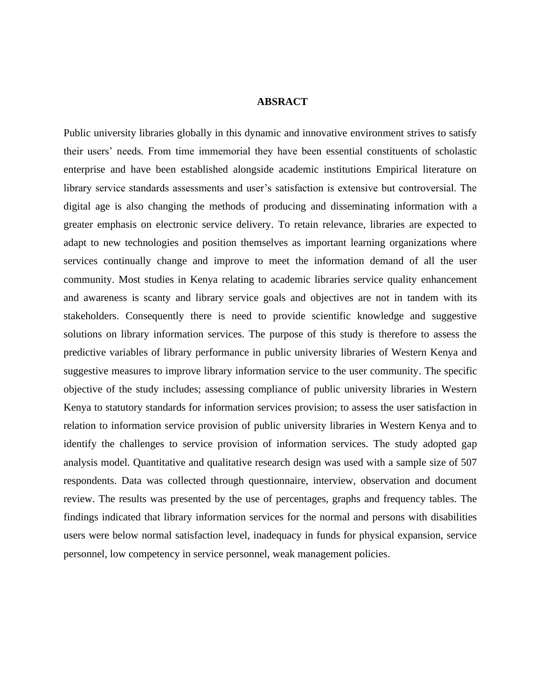## **ABSRACT**

Public university libraries globally in this dynamic and innovative environment strives to satisfy their users' needs. From time immemorial they have been essential constituents of scholastic enterprise and have been established alongside academic institutions Empirical literature on library service standards assessments and user's satisfaction is extensive but controversial. The digital age is also changing the methods of producing and disseminating information with a greater emphasis on electronic service delivery. To retain relevance, libraries are expected to adapt to new technologies and position themselves as important learning organizations where services continually change and improve to meet the information demand of all the user community. Most studies in Kenya relating to academic libraries service quality enhancement and awareness is scanty and library service goals and objectives are not in tandem with its stakeholders. Consequently there is need to provide scientific knowledge and suggestive solutions on library information services. The purpose of this study is therefore to assess the predictive variables of library performance in public university libraries of Western Kenya and suggestive measures to improve library information service to the user community. The specific objective of the study includes; assessing compliance of public university libraries in Western Kenya to statutory standards for information services provision; to assess the user satisfaction in relation to information service provision of public university libraries in Western Kenya and to identify the challenges to service provision of information services. The study adopted gap analysis model. Quantitative and qualitative research design was used with a sample size of 507 respondents. Data was collected through questionnaire, interview, observation and document review. The results was presented by the use of percentages, graphs and frequency tables. The findings indicated that library information services for the normal and persons with disabilities users were below normal satisfaction level, inadequacy in funds for physical expansion, service personnel, low competency in service personnel, weak management policies.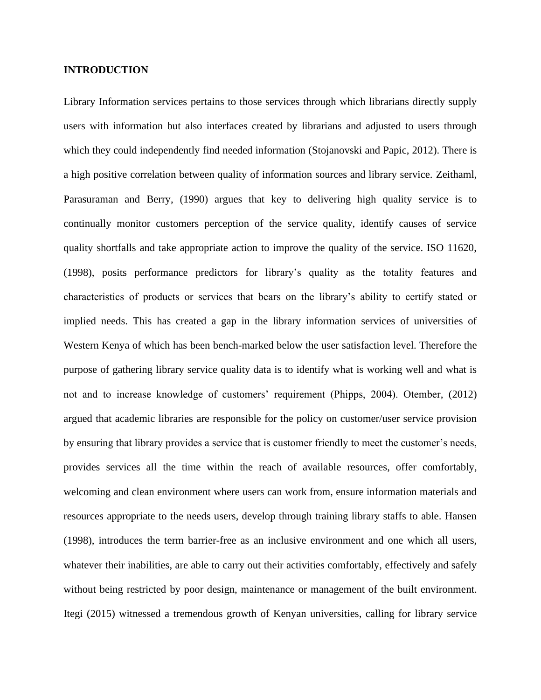## **INTRODUCTION**

Library Information services pertains to those services through which librarians directly supply users with information but also interfaces created by librarians and adjusted to users through which they could independently find needed information (Stojanovski and Papic, 2012). There is a high positive correlation between quality of information sources and library service. Zeithaml, Parasuraman and Berry, (1990) argues that key to delivering high quality service is to continually monitor customers perception of the service quality, identify causes of service quality shortfalls and take appropriate action to improve the quality of the service. ISO 11620, (1998), posits performance predictors for library's quality as the totality features and characteristics of products or services that bears on the library's ability to certify stated or implied needs. This has created a gap in the library information services of universities of Western Kenya of which has been bench-marked below the user satisfaction level. Therefore the purpose of gathering library service quality data is to identify what is working well and what is not and to increase knowledge of customers' requirement (Phipps, 2004). Otember, (2012) argued that academic libraries are responsible for the policy on customer/user service provision by ensuring that library provides a service that is customer friendly to meet the customer's needs, provides services all the time within the reach of available resources, offer comfortably, welcoming and clean environment where users can work from, ensure information materials and resources appropriate to the needs users, develop through training library staffs to able. Hansen (1998), introduces the term barrier-free as an inclusive environment and one which all users, whatever their inabilities, are able to carry out their activities comfortably, effectively and safely without being restricted by poor design, maintenance or management of the built environment. Itegi (2015) witnessed a tremendous growth of Kenyan universities, calling for library service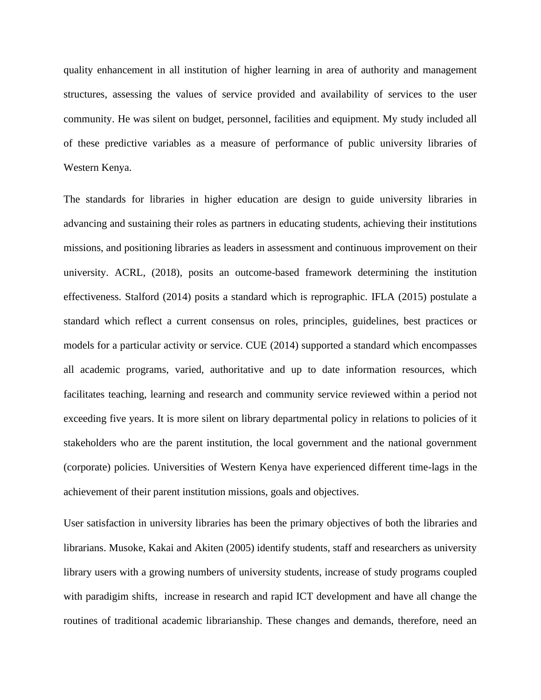quality enhancement in all institution of higher learning in area of authority and management structures, assessing the values of service provided and availability of services to the user community. He was silent on budget, personnel, facilities and equipment. My study included all of these predictive variables as a measure of performance of public university libraries of Western Kenya.

The standards for libraries in higher education are design to guide university libraries in advancing and sustaining their roles as partners in educating students, achieving their institutions missions, and positioning libraries as leaders in assessment and continuous improvement on their university. ACRL, (2018), posits an outcome-based framework determining the institution effectiveness. Stalford (2014) posits a standard which is reprographic. IFLA (2015) postulate a standard which reflect a current consensus on roles, principles, guidelines, best practices or models for a particular activity or service. CUE (2014) supported a standard which encompasses all academic programs, varied, authoritative and up to date information resources, which facilitates teaching, learning and research and community service reviewed within a period not exceeding five years. It is more silent on library departmental policy in relations to policies of it stakeholders who are the parent institution, the local government and the national government (corporate) policies. Universities of Western Kenya have experienced different time-lags in the achievement of their parent institution missions, goals and objectives.

User satisfaction in university libraries has been the primary objectives of both the libraries and librarians. Musoke, Kakai and Akiten (2005) identify students, staff and researchers as university library users with a growing numbers of university students, increase of study programs coupled with paradigim shifts, increase in research and rapid ICT development and have all change the routines of traditional academic librarianship. These changes and demands, therefore, need an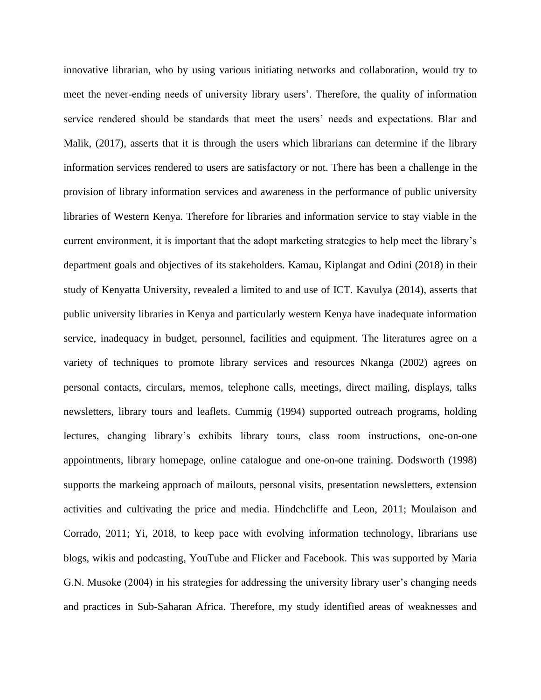innovative librarian, who by using various initiating networks and collaboration, would try to meet the never-ending needs of university library users'. Therefore, the quality of information service rendered should be standards that meet the users' needs and expectations. Blar and Malik, (2017), asserts that it is through the users which librarians can determine if the library information services rendered to users are satisfactory or not. There has been a challenge in the provision of library information services and awareness in the performance of public university libraries of Western Kenya. Therefore for libraries and information service to stay viable in the current environment, it is important that the adopt marketing strategies to help meet the library's department goals and objectives of its stakeholders. Kamau, Kiplangat and Odini (2018) in their study of Kenyatta University, revealed a limited to and use of ICT. Kavulya (2014), asserts that public university libraries in Kenya and particularly western Kenya have inadequate information service, inadequacy in budget, personnel, facilities and equipment. The literatures agree on a variety of techniques to promote library services and resources Nkanga (2002) agrees on personal contacts, circulars, memos, telephone calls, meetings, direct mailing, displays, talks newsletters, library tours and leaflets. Cummig (1994) supported outreach programs, holding lectures, changing library's exhibits library tours, class room instructions, one-on-one appointments, library homepage, online catalogue and one-on-one training. Dodsworth (1998) supports the markeing approach of mailouts, personal visits, presentation newsletters, extension activities and cultivating the price and media. Hindchcliffe and Leon, 2011; Moulaison and Corrado, 2011; Yi, 2018, to keep pace with evolving information technology, librarians use blogs, wikis and podcasting, YouTube and Flicker and Facebook. This was supported by Maria G.N. Musoke (2004) in his strategies for addressing the university library user's changing needs and practices in Sub-Saharan Africa. Therefore, my study identified areas of weaknesses and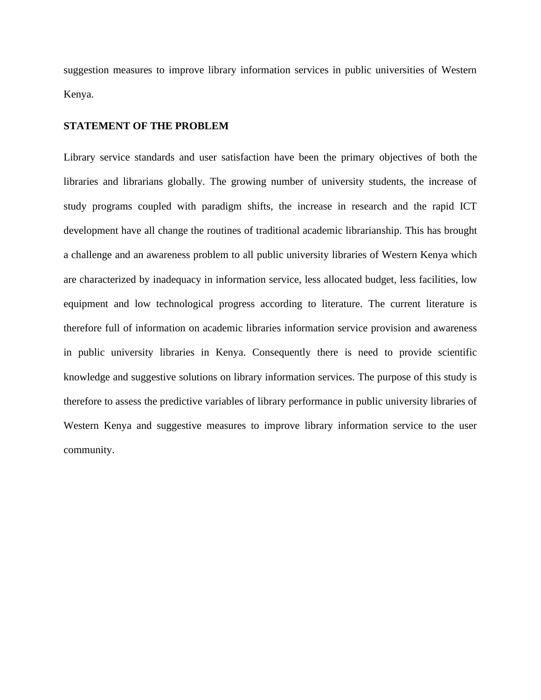suggestion measures to improve library information services in public universities of Western Kenya.

#### **STATEMENT OF THE PROBLEM**

Library service standards and user satisfaction have been the primary objectives of both the libraries and librarians globally. The growing number of university students, the increase of study programs coupled with paradigm shifts, the increase in research and the rapid ICT development have all change the routines of traditional academic librarianship. This has brought a challenge and an awareness problem to all public university libraries of Western Kenya which are characterized by inadequacy in information service, less allocated budget, less facilities, low equipment and low technological progress according to literature. The current literature is therefore full of information on academic libraries information service provision and awareness in public university libraries in Kenya. Consequently there is need to provide scientific knowledge and suggestive solutions on library information services. The purpose of this study is therefore to assess the predictive variables of library performance in public university libraries of Western Kenya and suggestive measures to improve library information service to the user community.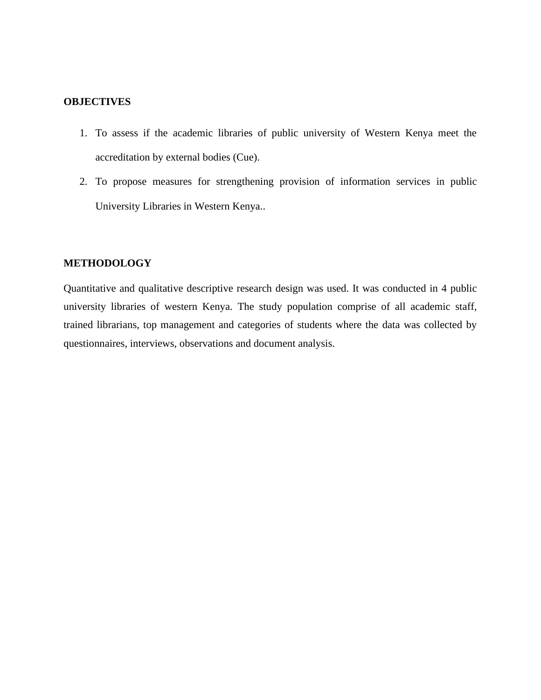## **OBJECTIVES**

- 1. To assess if the academic libraries of public university of Western Kenya meet the accreditation by external bodies (Cue).
- 2. To propose measures for strengthening provision of information services in public University Libraries in Western Kenya..

## **METHODOLOGY**

Quantitative and qualitative descriptive research design was used. It was conducted in 4 public university libraries of western Kenya. The study population comprise of all academic staff, trained librarians, top management and categories of students where the data was collected by questionnaires, interviews, observations and document analysis.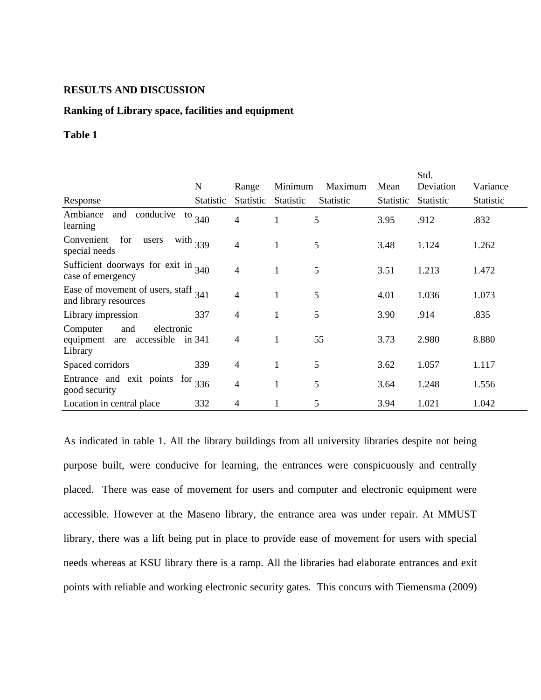## **RESULTS AND DISCUSSION**

#### **Ranking of Library space, facilities and equipment**

#### **Table 1**

|                                                                            | $\mathbf N$ | Range            | Minimum      | Maximum          | Mean      | Std.<br>Deviation | Variance  |
|----------------------------------------------------------------------------|-------------|------------------|--------------|------------------|-----------|-------------------|-----------|
| Response                                                                   | Statistic   | <b>Statistic</b> | Statistic    | <b>Statistic</b> | Statistic | <b>Statistic</b>  | Statistic |
| conducive<br>Ambiance<br>and<br>to<br>learning                             | 340         | 4                | 1            | 5                | 3.95      | .912              | .832      |
| Convenient<br>for<br>with $339$<br>users<br>special needs                  |             | 4                | $\mathbf{1}$ | 5                | 3.48      | 1.124             | 1.262     |
| Sufficient doorways for exit in $340$<br>case of emergency                 |             | 4                | 1            | 5                | 3.51      | 1.213             | 1.472     |
| Ease of movement of users, staff $341$<br>and library resources            |             | 4                | 1            | 5                | 4.01      | 1.036             | 1.073     |
| Library impression                                                         | 337         | $\overline{4}$   | 1            | 5                | 3.90      | .914              | .835      |
| electronic<br>Computer<br>and<br>accessible<br>equipment<br>are<br>Library | in 341      | 4                | 1            | 55               | 3.73      | 2.980             | 8.880     |
| Spaced corridors                                                           | 339         | $\overline{4}$   | 1            | 5                | 3.62      | 1.057             | 1.117     |
| Entrance and exit points for $336$<br>good security                        |             | 4                | 1            | 5                | 3.64      | 1.248             | 1.556     |
| Location in central place                                                  | 332         | $\overline{4}$   | 1            | 5                | 3.94      | 1.021             | 1.042     |

As indicated in table 1. All the library buildings from all university libraries despite not being purpose built, were conducive for learning, the entrances were conspicuously and centrally placed. There was ease of movement for users and computer and electronic equipment were accessible. However at the Maseno library, the entrance area was under repair. At MMUST library, there was a lift being put in place to provide ease of movement for users with special needs whereas at KSU library there is a ramp. All the libraries had elaborate entrances and exit points with reliable and working electronic security gates. This concurs with Tiemensma (2009)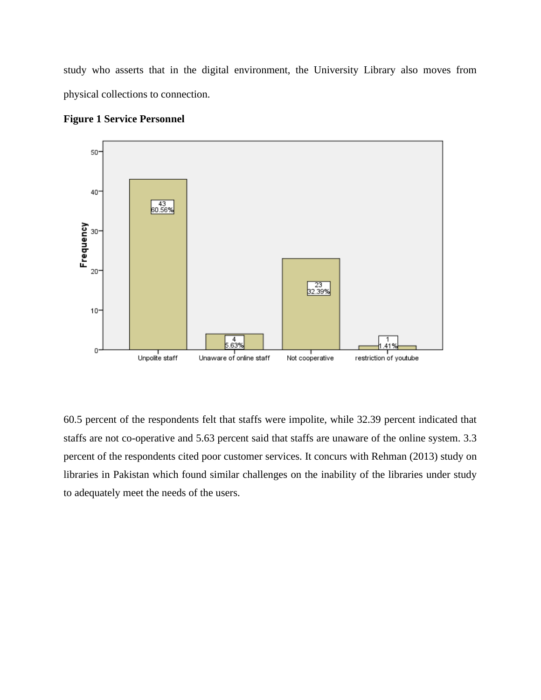study who asserts that in the digital environment, the University Library also moves from physical collections to connection.



**Figure 1 Service Personnel** 

60.5 percent of the respondents felt that staffs were impolite, while 32.39 percent indicated that staffs are not co-operative and 5.63 percent said that staffs are unaware of the online system. 3.3 percent of the respondents cited poor customer services. It concurs with Rehman (2013) study on libraries in Pakistan which found similar challenges on the inability of the libraries under study to adequately meet the needs of the users.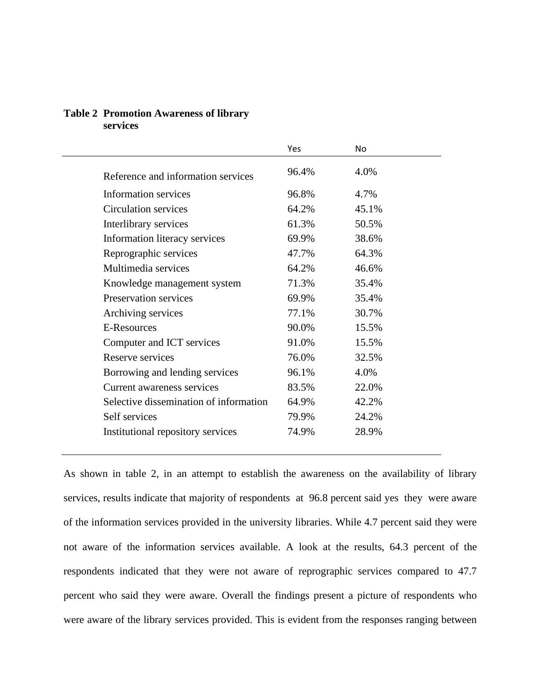## **Table 2 Promotion Awareness of library services**

|                                        | Yes   | No    |
|----------------------------------------|-------|-------|
| Reference and information services     | 96.4% | 4.0%  |
| <b>Information services</b>            | 96.8% | 4.7%  |
| Circulation services                   | 64.2% | 45.1% |
| Interlibrary services                  | 61.3% | 50.5% |
| Information literacy services          | 69.9% | 38.6% |
| Reprographic services                  | 47.7% | 64.3% |
| Multimedia services                    | 64.2% | 46.6% |
| Knowledge management system            | 71.3% | 35.4% |
| Preservation services                  | 69.9% | 35.4% |
| Archiving services                     | 77.1% | 30.7% |
| <b>E-Resources</b>                     | 90.0% | 15.5% |
| Computer and ICT services              | 91.0% | 15.5% |
| Reserve services                       | 76.0% | 32.5% |
| Borrowing and lending services         | 96.1% | 4.0%  |
| Current awareness services             | 83.5% | 22.0% |
| Selective dissemination of information | 64.9% | 42.2% |
| Self services                          | 79.9% | 24.2% |
| Institutional repository services      | 74.9% | 28.9% |
|                                        |       |       |

As shown in table 2, in an attempt to establish the awareness on the availability of library services, results indicate that majority of respondents at 96.8 percent said yes they were aware of the information services provided in the university libraries. While 4.7 percent said they were not aware of the information services available. A look at the results, 64.3 percent of the respondents indicated that they were not aware of reprographic services compared to 47.7 percent who said they were aware. Overall the findings present a picture of respondents who were aware of the library services provided. This is evident from the responses ranging between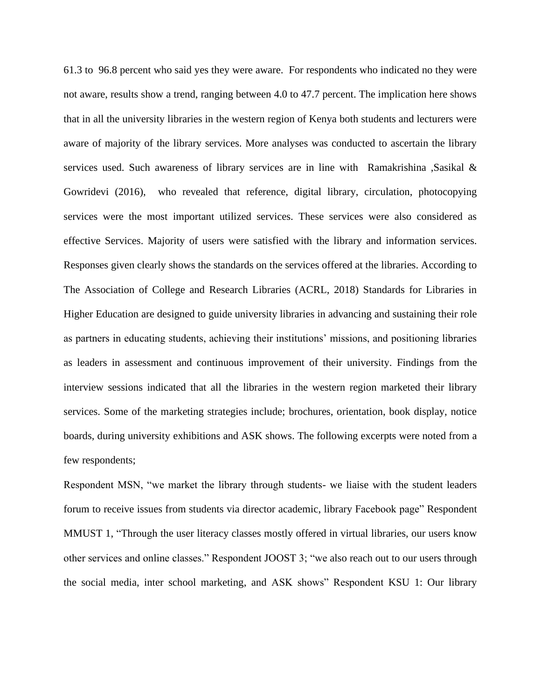61.3 to 96.8 percent who said yes they were aware. For respondents who indicated no they were not aware, results show a trend, ranging between 4.0 to 47.7 percent. The implication here shows that in all the university libraries in the western region of Kenya both students and lecturers were aware of majority of the library services. More analyses was conducted to ascertain the library services used. Such awareness of library services are in line with Ramakrishina ,Sasikal & Gowridevi (2016), who revealed that reference, digital library, circulation, photocopying services were the most important utilized services. These services were also considered as effective Services. Majority of users were satisfied with the library and information services. Responses given clearly shows the standards on the services offered at the libraries. According to The Association of College and Research Libraries (ACRL, 2018) Standards for Libraries in Higher Education are designed to guide university libraries in advancing and sustaining their role as partners in educating students, achieving their institutions' missions, and positioning libraries as leaders in assessment and continuous improvement of their university. Findings from the interview sessions indicated that all the libraries in the western region marketed their library services. Some of the marketing strategies include; brochures, orientation, book display, notice boards, during university exhibitions and ASK shows. The following excerpts were noted from a few respondents;

Respondent MSN, "we market the library through students- we liaise with the student leaders forum to receive issues from students via director academic, library Facebook page" Respondent MMUST 1, "Through the user literacy classes mostly offered in virtual libraries, our users know other services and online classes." Respondent JOOST 3; "we also reach out to our users through the social media, inter school marketing, and ASK shows" Respondent KSU 1: Our library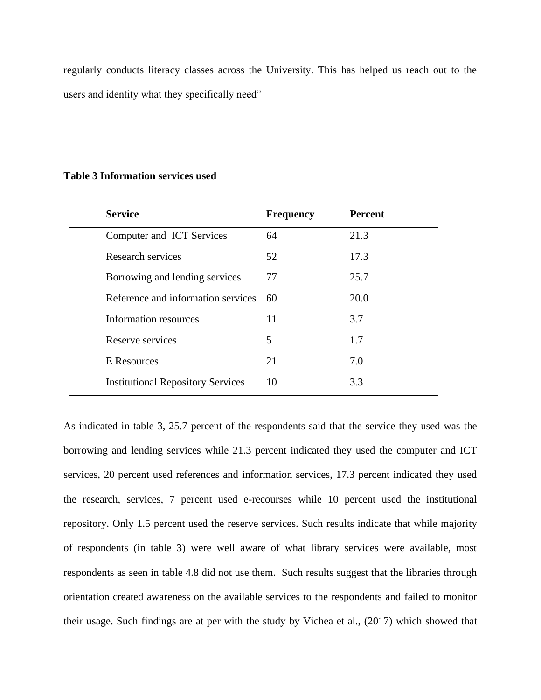regularly conducts literacy classes across the University. This has helped us reach out to the users and identity what they specifically need"

## **Table 3 Information services used**

| <b>Service</b>                           | <b>Frequency</b> | <b>Percent</b> |
|------------------------------------------|------------------|----------------|
| Computer and ICT Services                | 64               | 21.3           |
| Research services                        | 52               | 17.3           |
| Borrowing and lending services           | 77               | 25.7           |
| Reference and information services       | 60               | 20.0           |
| Information resources                    | 11               | 3.7            |
| Reserve services                         | 5                | 1.7            |
| E Resources                              | 21               | 7.0            |
| <b>Institutional Repository Services</b> | 10               | 3.3            |

As indicated in table 3, 25.7 percent of the respondents said that the service they used was the borrowing and lending services while 21.3 percent indicated they used the computer and ICT services, 20 percent used references and information services, 17.3 percent indicated they used the research, services, 7 percent used e-recourses while 10 percent used the institutional repository. Only 1.5 percent used the reserve services. Such results indicate that while majority of respondents (in table 3) were well aware of what library services were available, most respondents as seen in table 4.8 did not use them. Such results suggest that the libraries through orientation created awareness on the available services to the respondents and failed to monitor their usage. Such findings are at per with the study by Vichea et al., (2017) which showed that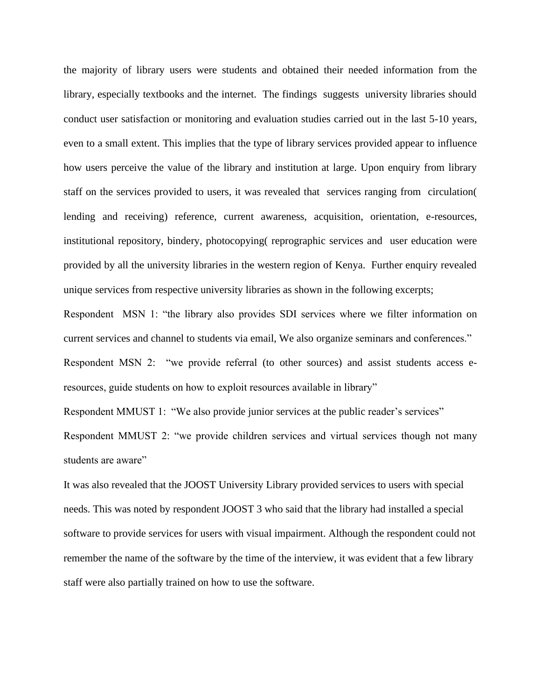the majority of library users were students and obtained their needed information from the library, especially textbooks and the internet. The findings suggests university libraries should conduct user satisfaction or monitoring and evaluation studies carried out in the last 5-10 years, even to a small extent. This implies that the type of library services provided appear to influence how users perceive the value of the library and institution at large. Upon enquiry from library staff on the services provided to users, it was revealed that services ranging from circulation( lending and receiving) reference, current awareness, acquisition, orientation, e-resources, institutional repository, bindery, photocopying( reprographic services and user education were provided by all the university libraries in the western region of Kenya. Further enquiry revealed unique services from respective university libraries as shown in the following excerpts;

Respondent MSN 1: "the library also provides SDI services where we filter information on current services and channel to students via email, We also organize seminars and conferences."

Respondent MSN 2: "we provide referral (to other sources) and assist students access eresources, guide students on how to exploit resources available in library"

Respondent MMUST 1: "We also provide junior services at the public reader's services"

Respondent MMUST 2: "we provide children services and virtual services though not many students are aware"

It was also revealed that the JOOST University Library provided services to users with special needs. This was noted by respondent JOOST 3 who said that the library had installed a special software to provide services for users with visual impairment. Although the respondent could not remember the name of the software by the time of the interview, it was evident that a few library staff were also partially trained on how to use the software.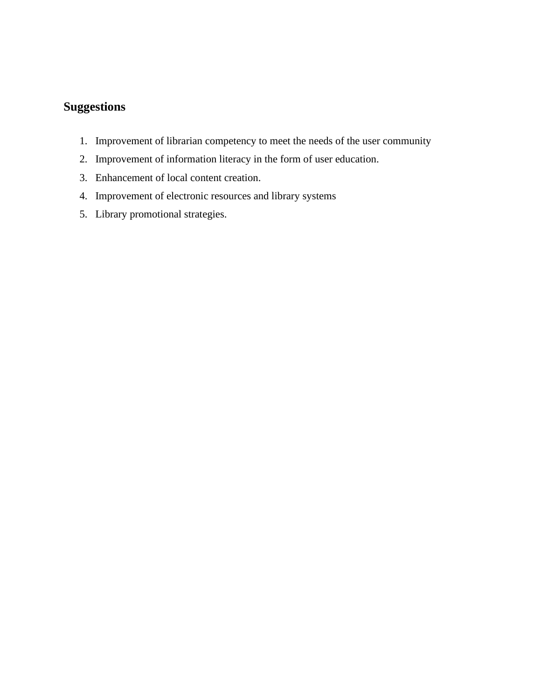## **Suggestions**

- 1. Improvement of librarian competency to meet the needs of the user community
- 2. Improvement of information literacy in the form of user education.
- 3. Enhancement of local content creation.
- 4. Improvement of electronic resources and library systems
- 5. Library promotional strategies.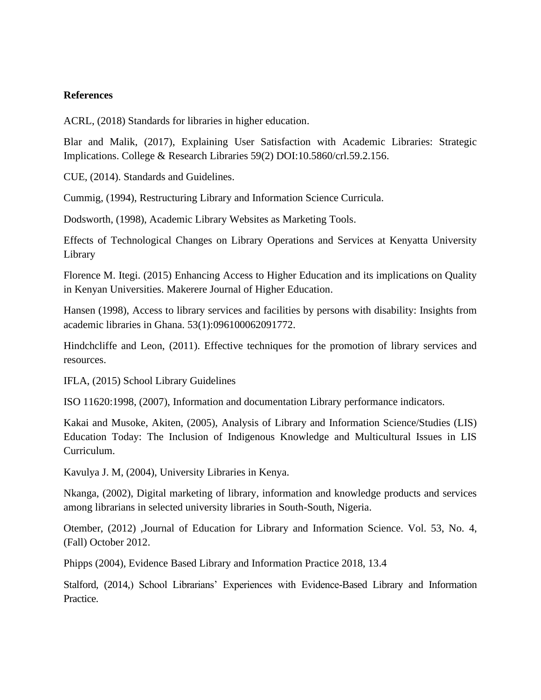## **References**

ACRL, (2018) Standards for libraries in higher education.

Blar and Malik, (2017), Explaining User Satisfaction with Academic Libraries: Strategic Implications. College & Research Libraries 59(2) DOI:10.5860/crl.59.2.156.

CUE, (2014). Standards and Guidelines.

Cummig, (1994), Restructuring Library and Information Science Curricula.

Dodsworth, (1998), Academic Library Websites as Marketing Tools.

Effects of Technological Changes on Library Operations and Services at Kenyatta University Library

Florence M. Itegi. (2015) Enhancing Access to Higher Education and its implications on Quality in Kenyan Universities. Makerere Journal of Higher Education.

Hansen (1998), Access to library services and facilities by persons with disability: Insights from academic libraries in Ghana. 53(1):096100062091772.

Hindchcliffe and Leon, (2011). Effective techniques for the promotion of library services and resources.

IFLA, (2015) School Library Guidelines

ISO 11620:1998, (2007), Information and documentation Library performance indicators.

Kakai and Musoke, Akiten, (2005), Analysis of Library and Information Science/Studies (LIS) Education Today: The Inclusion of Indigenous Knowledge and Multicultural Issues in LIS Curriculum.

Kavulya J. M, (2004), University Libraries in Kenya.

Nkanga, (2002), Digital marketing of library, information and knowledge products and services among librarians in selected university libraries in South-South, Nigeria.

Otember, (2012) ,Journal of Education for Library and Information Science. Vol. 53, No. 4, (Fall) October 2012.

Phipps (2004), Evidence Based Library and Information Practice 2018, 13.4

Stalford, (2014,) School Librarians' Experiences with Evidence-Based Library and Information Practice.